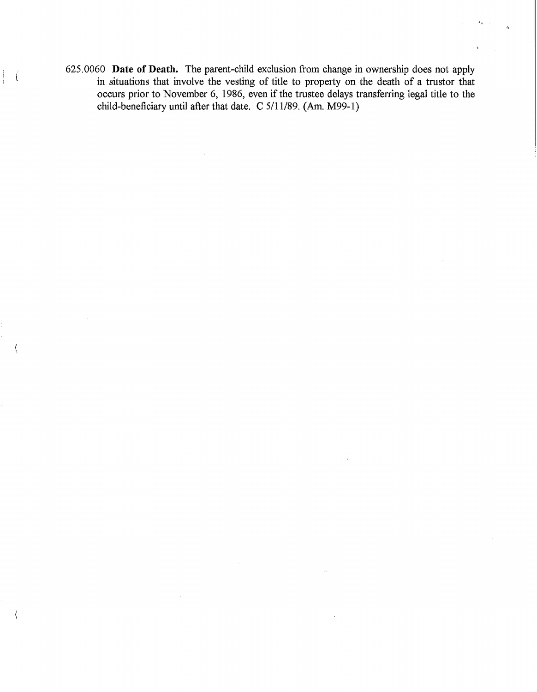625.0060 **Date of Death.** The parent-child exclusion from change in ownership does not apply in situations that involve the vesting of title to property on the death of a trustor that occurs prior to November 6, 1986, even if the trustee delays transferring legal title to the child-beneficiary until after that date. C 5/11/89. (Am. M99-1)

 $\|\cdot\|$ 

Á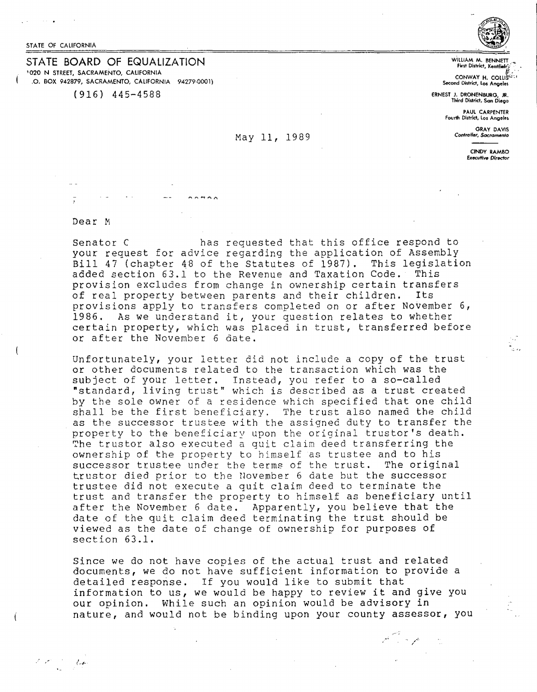STATE OF CALIFORNIA

STATE BOARD OF EQUALIZATION <sup>1</sup> 020 N STREET, SACRAMENTO, CAllFORNlA .0. BOX 942879, SACRAMENTO, CALIFORNIA 94279-0001)

(916) 445-4588



WILLIAM M. BENNET **First District, Xentile** 

**CONWAY H. COLLIS Second District, Los Angeles** 

**ERNEST J. DRONENBURG, JR. Third District, San Diego** 

**PAUL CARPENTER**  Fourlh Dhtrlc!, Lo, **Angolo,** 

**GRAY DAVIS**  *Co,-,,rDU.tr, Sacramecnto* 

> **CINDY RAMBO Executive Director**

Dear M

. i.e. i.e.  $\ell \rightarrow \ell$ 

Senator C has requested that this office respond to your request for advice regarding the application of Assembly Bill 47 (chapter 48 of the Statutes of 1987). This legislation<br>added section 63.1 to the Revenue and Taxation Code. This added section 63.1 to the Revenue and Taxation Code. provision excludes from change in ownership certain transfers<br>of real property between parents and their children. Its of real property between parents and their children. provisions apply to transfers completed on or after November 6,<br>1986. As we understand it, your question relates to whether As we understand it, your question relates to whether certain property, which was placed in trust, transferred before or after the November 6 date.

May 11, 1989

 $\cdots$ 

Unfortunately, your letter did not include a copy of the trust or other documents related to the transaction which was the subject of your letter. Instead, you refer to a so-called "standard, living trust" which is described as a trust created by the sole owner of a residence which specified that one child shall be the first beneficiary. The trust also named the child as the successor trustee with the assigned duty to transfer the property to the beneficiary upon the original trustor's death. The trustor also executed a quit claim deed transferring the ownership of the property to himself as trustee and to his successor trustee under the terms of the trust. The original trustor died prior to the Uovember 6 date but the successor trustee did not execute a auit claim deed to terminate the trust and transfer the property to himself as beneficiary until after the November 6 date. Apparently, you believe that the date of the quit claim deed terminating the trust should be viewed as the date of change of ownership for purposes of section 63.1.

Since we do not have copies of the actual trust and related documents, we do not have sufficient information to provide a detailed response. If you would like to submit that information to us, we would be happy to review it and give you our opinion. While such an opinion would be advisory in nature, and would not be binding upon your county assessor, you

مراجان